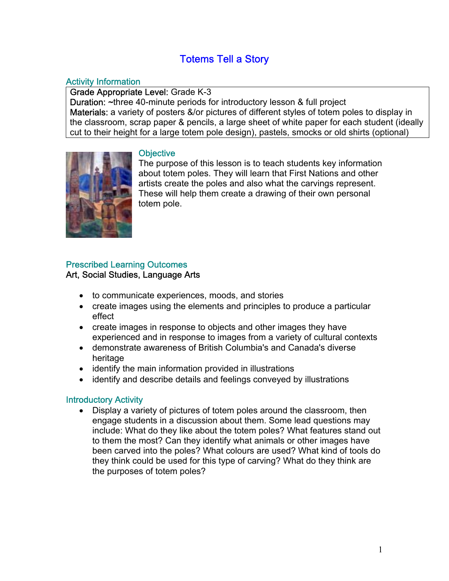#### Totems Tell a Story

#### Activity Information

Grade Appropriate Level: Grade K-3

Duration: ~three 40-minute periods for introductory lesson & full project Materials: a variety of posters &/or pictures of different styles of totem poles to display in the classroom, scrap paper & pencils, a large sheet of white paper for each student (ideally cut to their height for a large totem pole design), pastels, smocks or old shirts (optional)



#### **Objective**

The purpose of this lesson is to teach students key information about totem poles. They will learn that First Nations and other artists create the poles and also what the carvings represent. These will help them create a drawing of their own personal totem pole.

#### Prescribed Learning Outcomes Art, Social Studies, Language Arts

- to communicate experiences, moods, and stories
- create images using the elements and principles to produce a particular effect
- create images in response to objects and other images they have experienced and in response to images from a variety of cultural contexts
- demonstrate awareness of British Columbia's and Canada's diverse heritage
- identify the main information provided in illustrations
- identify and describe details and feelings conveyed by illustrations

#### Introductory Activity

• Display a variety of pictures of totem poles around the classroom, then engage students in a discussion about them. Some lead questions may include: What do they like about the totem poles? What features stand out to them the most? Can they identify what animals or other images have been carved into the poles? What colours are used? What kind of tools do they think could be used for this type of carving? What do they think are the purposes of totem poles?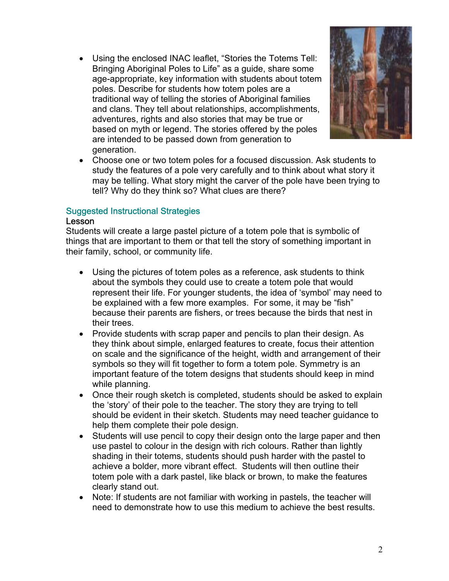• Using the enclosed INAC leaflet, "Stories the Totems Tell: Bringing Aboriginal Poles to Life" as a guide, share some age-appropriate, key information with students about totem poles. Describe for students how totem poles are a traditional way of telling the stories of Aboriginal families and clans. They tell about relationships, accomplishments, adventures, rights and also stories that may be true or based on myth or legend. The stories offered by the poles are intended to be passed down from generation to generation.



• Choose one or two totem poles for a focused discussion. Ask students to study the features of a pole very carefully and to think about what story it may be telling. What story might the carver of the pole have been trying to tell? Why do they think so? What clues are there?

#### Suggested Instructional Strategies

#### Lesson

Students will create a large pastel picture of a totem pole that is symbolic of things that are important to them or that tell the story of something important in their family, school, or community life.

- Using the pictures of totem poles as a reference, ask students to think about the symbols they could use to create a totem pole that would represent their life. For younger students, the idea of 'symbol' may need to be explained with a few more examples. For some, it may be "fish" because their parents are fishers, or trees because the birds that nest in their trees.
- Provide students with scrap paper and pencils to plan their design. As they think about simple, enlarged features to create, focus their attention on scale and the significance of the height, width and arrangement of their symbols so they will fit together to form a totem pole. Symmetry is an important feature of the totem designs that students should keep in mind while planning.
- Once their rough sketch is completed, students should be asked to explain the 'story' of their pole to the teacher. The story they are trying to tell should be evident in their sketch. Students may need teacher guidance to help them complete their pole design.
- Students will use pencil to copy their design onto the large paper and then use pastel to colour in the design with rich colours. Rather than lightly shading in their totems, students should push harder with the pastel to achieve a bolder, more vibrant effect. Students will then outline their totem pole with a dark pastel, like black or brown, to make the features clearly stand out.
- Note: If students are not familiar with working in pastels, the teacher will need to demonstrate how to use this medium to achieve the best results.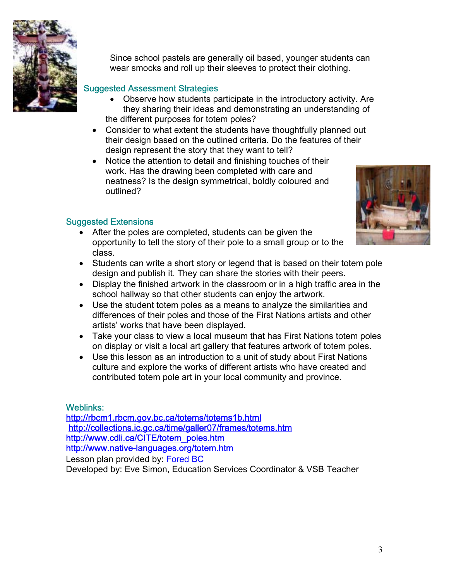

Since school pastels are generally oil based, younger students can wear smocks and roll up their sleeves to protect their clothing.

#### Suggested Assessment Strategies

- Observe how students participate in the introductory activity. Are they sharing their ideas and demonstrating an understanding of the different purposes for totem poles?
- Consider to what extent the students have thoughtfully planned out their design based on the outlined criteria. Do the features of their design represent the story that they want to tell?
- Notice the attention to detail and finishing touches of their work. Has the drawing been completed with care and neatness? Is the design symmetrical, boldly coloured and outlined?



#### Suggested Extensions

- After the poles are completed, students can be given the opportunity to tell the story of their pole to a small group or to the class.
- Students can write a short story or legend that is based on their totem pole design and publish it. They can share the stories with their peers.
- Display the finished artwork in the classroom or in a high traffic area in the school hallway so that other students can enjoy the artwork.
- Use the student totem poles as a means to analyze the similarities and differences of their poles and those of the First Nations artists and other artists' works that have been displayed.
- Take your class to view a local museum that has First Nations totem poles on display or visit a local art gallery that features artwork of totem poles.
- Use this lesson as an introduction to a unit of study about First Nations culture and explore the works of different artists who have created and contributed totem pole art in your local community and province.

#### Weblinks:

<http://rbcm1.rbcm.gov.bc.ca/totems/totems1b.html> <http://collections.ic.gc.ca/time/galler07/frames/totems.htm> [http://www.cdli.ca/CITE/totem\\_poles.htm](http://www.cdli.ca/CITE/totem_poles.htm) <http://www.native-languages.org/totem.htm>

Lesson plan provided by: Fored BC Developed by: Eve Simon, Education Services Coordinator & VSB Teacher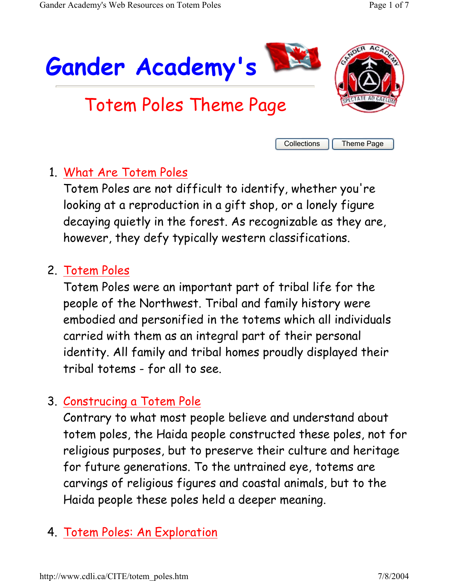

# Totem Poles Theme Page



Collections | Theme Page

# 1. What Are Totem Poles

Totem Poles are not difficult to identify, whether you're looking at a reproduction in a gift shop, or a lonely figure decaying quietly in the forest. As recognizable as they are, however, they defy typically western classifications.

### 2. Totem Poles

Totem Poles were an important part of tribal life for the people of the Northwest. Tribal and family history were embodied and personified in the totems which all individuals carried with them as an integral part of their personal identity. All family and tribal homes proudly displayed their tribal totems - for all to see.

### 3. Construcing a Totem Pole

Contrary to what most people believe and understand about totem poles, the Haida people constructed these poles, not for religious purposes, but to preserve their culture and heritage for future generations. To the untrained eye, totems are carvings of religious figures and coastal animals, but to the Haida people these poles held a deeper meaning.

### 4. Totem Poles: An Exploration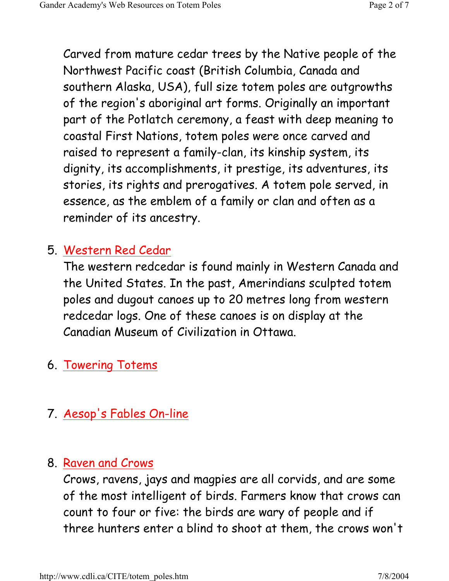Carved from mature cedar trees by the Native people of the Northwest Pacific coast (British Columbia, Canada and southern Alaska, USA), full size totem poles are outgrowths of the region's aboriginal art forms. Originally an important part of the Potlatch ceremony, a feast with deep meaning to coastal First Nations, totem poles were once carved and raised to represent a family-clan, its kinship system, its dignity, its accomplishments, it prestige, its adventures, its stories, its rights and prerogatives. A totem pole served, in essence, as the emblem of a family or clan and often as a reminder of its ancestry.

### 5. Western Red Cedar

The western redcedar is found mainly in Western Canada and the United States. In the past, Amerindians sculpted totem poles and dugout canoes up to 20 metres long from western redcedar logs. One of these canoes is on display at the Canadian Museum of Civilization in Ottawa.

6. Towering Totems

# 7. Aesop's Fables On-line

#### 8. Raven and Crows

Crows, ravens, jays and magpies are all corvids, and are some of the most intelligent of birds. Farmers know that crows can count to four or five: the birds are wary of people and if three hunters enter a blind to shoot at them, the crows won't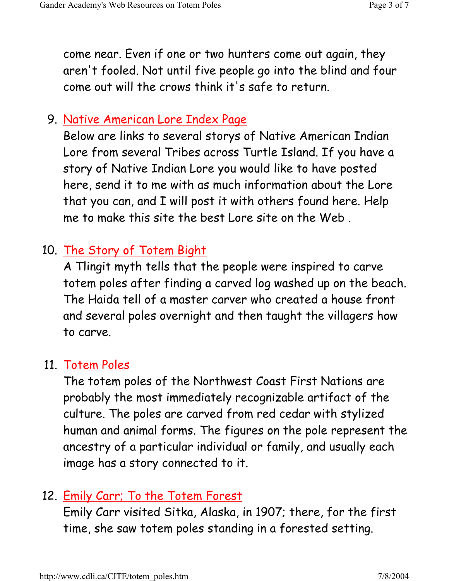come near. Even if one or two hunters come out again, they aren't fooled. Not until five people go into the blind and four come out will the crows think it's safe to return.

#### 9. Native American Lore Index Page

Below are links to several storys of Native American Indian Lore from several Tribes across Turtle Island. If you have a story of Native Indian Lore you would like to have posted here, send it to me with as much information about the Lore that you can, and I will post it with others found here. Help me to make this site the best Lore site on the Web .

# 10. The Story of Totem Bight

A Tlingit myth tells that the people were inspired to carve totem poles after finding a carved log washed up on the beach. The Haida tell of a master carver who created a house front and several poles overnight and then taught the villagers how to carve.

#### 11. Totem Poles

The totem poles of the Northwest Coast First Nations are probably the most immediately recognizable artifact of the culture. The poles are carved from red cedar with stylized human and animal forms. The figures on the pole represent the ancestry of a particular individual or family, and usually each image has a story connected to it.

### 12. Emily Carr; To the Totem Forest

Emily Carr visited Sitka, Alaska, in 1907; there, for the first time, she saw totem poles standing in a forested setting.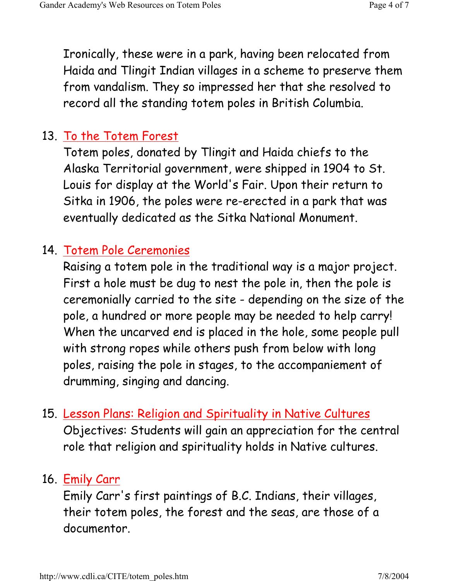Ironically, these were in a park, having been relocated from Haida and Tlingit Indian villages in a scheme to preserve them from vandalism. They so impressed her that she resolved to record all the standing totem poles in British Columbia.

### 13. To the Totem Forest

Totem poles, donated by Tlingit and Haida chiefs to the Alaska Territorial government, were shipped in 1904 to St. Louis for display at the World's Fair. Upon their return to Sitka in 1906, the poles were re-erected in a park that was eventually dedicated as the Sitka National Monument.

#### 14. Totem Pole Ceremonies

Raising a totem pole in the traditional way is a major project. First a hole must be dug to nest the pole in, then the pole is ceremonially carried to the site - depending on the size of the pole, a hundred or more people may be needed to help carry! When the uncarved end is placed in the hole, some people pull with strong ropes while others push from below with long poles, raising the pole in stages, to the accompaniement of drumming, singing and dancing.

# 15. Lesson Plans: Religion and Spirituality in Native Cultures Objectives: Students will gain an appreciation for the central role that religion and spirituality holds in Native cultures.

### 16. Emily Carr

Emily Carr's first paintings of B.C. Indians, their villages, their totem poles, the forest and the seas, are those of a documentor.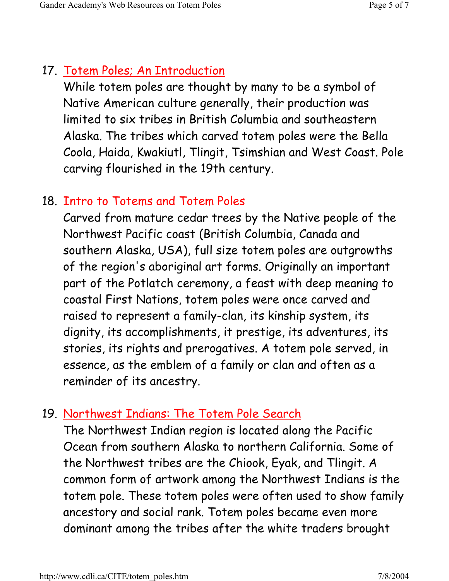### 17. Totem Poles; An Introduction

While totem poles are thought by many to be a symbol of Native American culture generally, their production was limited to six tribes in British Columbia and southeastern Alaska. The tribes which carved totem poles were the Bella Coola, Haida, Kwakiutl, Tlingit, Tsimshian and West Coast. Pole carving flourished in the 19th century.

#### 18. Intro to Totems and Totem Poles

Carved from mature cedar trees by the Native people of the Northwest Pacific coast (British Columbia, Canada and southern Alaska, USA), full size totem poles are outgrowths of the region's aboriginal art forms. Originally an important part of the Potlatch ceremony, a feast with deep meaning to coastal First Nations, totem poles were once carved and raised to represent a family-clan, its kinship system, its dignity, its accomplishments, it prestige, its adventures, its stories, its rights and prerogatives. A totem pole served, in essence, as the emblem of a family or clan and often as a reminder of its ancestry.

#### 19. Northwest Indians: The Totem Pole Search

The Northwest Indian region is located along the Pacific Ocean from southern Alaska to northern California. Some of the Northwest tribes are the Chiook, Eyak, and Tlingit. A common form of artwork among the Northwest Indians is the totem pole. These totem poles were often used to show family ancestory and social rank. Totem poles became even more dominant among the tribes after the white traders brought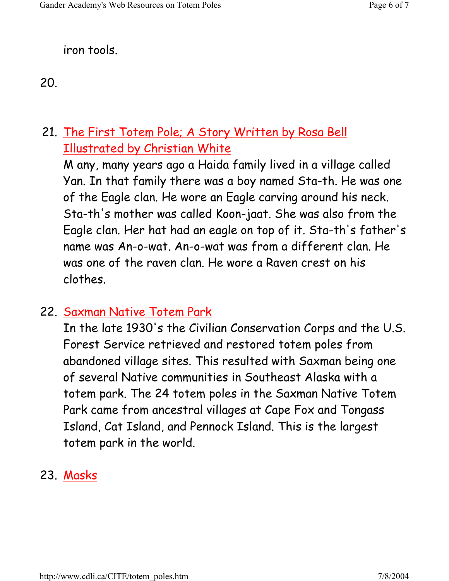iron tools.

20.

# 21. The First Totem Pole; A Story Written by Rosa Bell Illustrated by Christian White

M any, many years ago a Haida family lived in a village called Yan. In that family there was a boy named Sta-th. He was one of the Eagle clan. He wore an Eagle carving around his neck. Sta-th's mother was called Koon-jaat. She was also from the Eagle clan. Her hat had an eagle on top of it. Sta-th's father's name was An-o-wat. An-o-wat was from a different clan. He was one of the raven clan. He wore a Raven crest on his clothes.

#### 22. Saxman Native Totem Park

In the late 1930's the Civilian Conservation Corps and the U.S. Forest Service retrieved and restored totem poles from abandoned village sites. This resulted with Saxman being one of several Native communities in Southeast Alaska with a totem park. The 24 totem poles in the Saxman Native Totem Park came from ancestral villages at Cape Fox and Tongass Island, Cat Island, and Pennock Island. This is the largest totem park in the world.

### 23. Masks